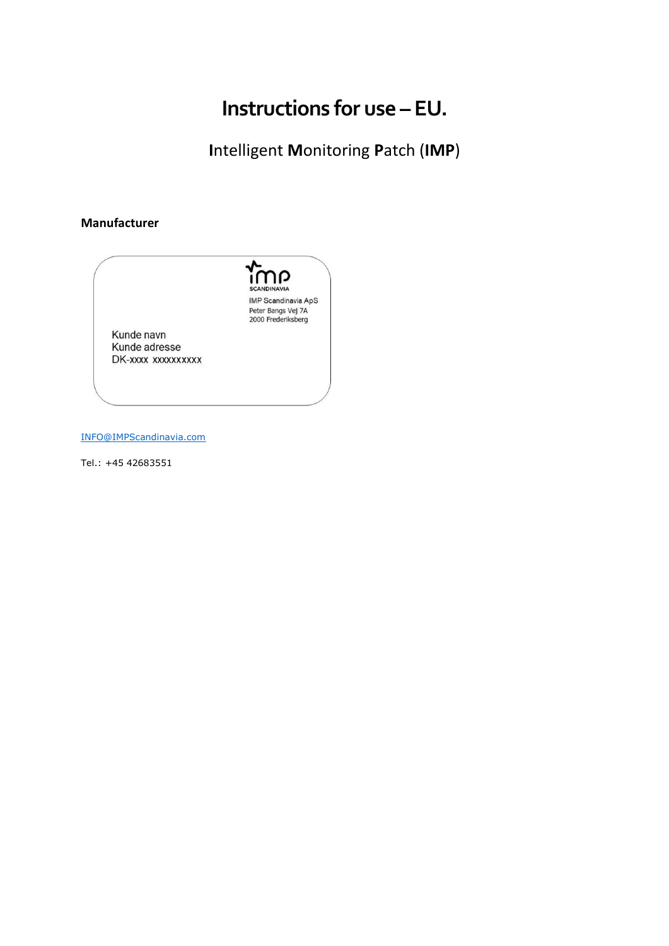# Instructions for use - EU.

Intelligent Monitoring Patch (IMP)

### Manufacturer



INFO@IMPScandinavia.com

Tel.: +45 42683551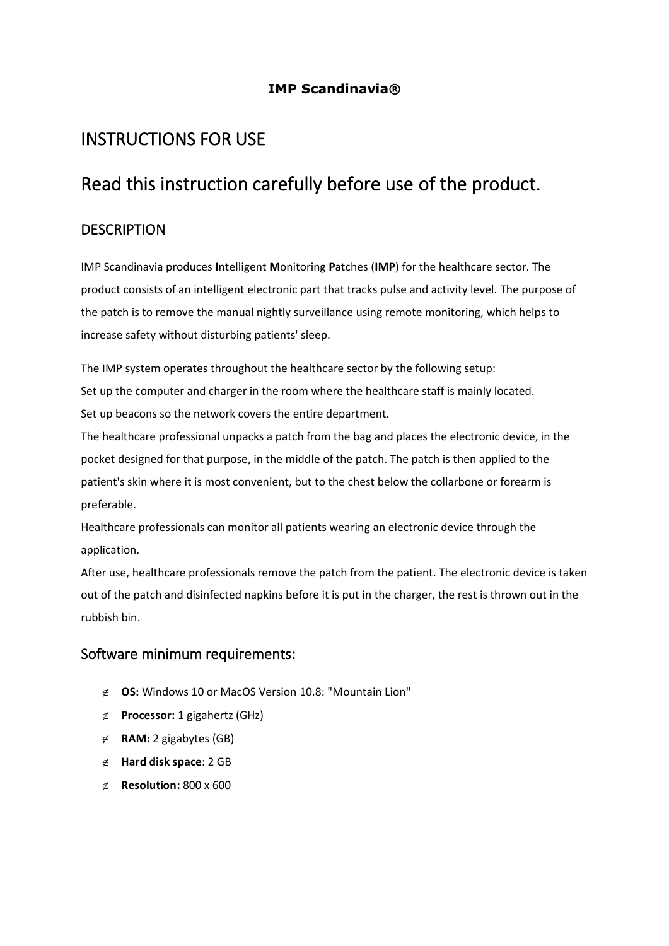### **IMP Scandinavia®**

# INSTRUCTIONS FOR USE

# Read this instruction carefully before use of the product.

### **DESCRIPTION**

IMP Scandinavia produces **I**ntelligent **M**onitoring **P**atches (**IMP**) for the healthcare sector. The product consists of an intelligent electronic part that tracks pulse and activity level. The purpose of the patch is to remove the manual nightly surveillance using remote monitoring, which helps to increase safety without disturbing patients' sleep.

The IMP system operates throughout the healthcare sector by the following setup: Set up the computer and charger in the room where the healthcare staff is mainly located. Set up beacons so the network covers the entire department.

The healthcare professional unpacks a patch from the bag and places the electronic device, in the pocket designed for that purpose, in the middle of the patch. The patch is then applied to the patient's skin where it is most convenient, but to the chest below the collarbone or forearm is preferable.

Healthcare professionals can monitor all patients wearing an electronic device through the application.

After use, healthcare professionals remove the patch from the patient. The electronic device is taken out of the patch and disinfected napkins before it is put in the charger, the rest is thrown out in the rubbish bin.

### Software minimum requirements:

- **OS:** Windows 10 or MacOS Version 10.8: "Mountain Lion"
- **Processor:** 1 gigahertz (GHz)
- **RAM:** 2 gigabytes (GB)
- **Hard disk space**: 2 GB
- **Resolution:** 800 x 600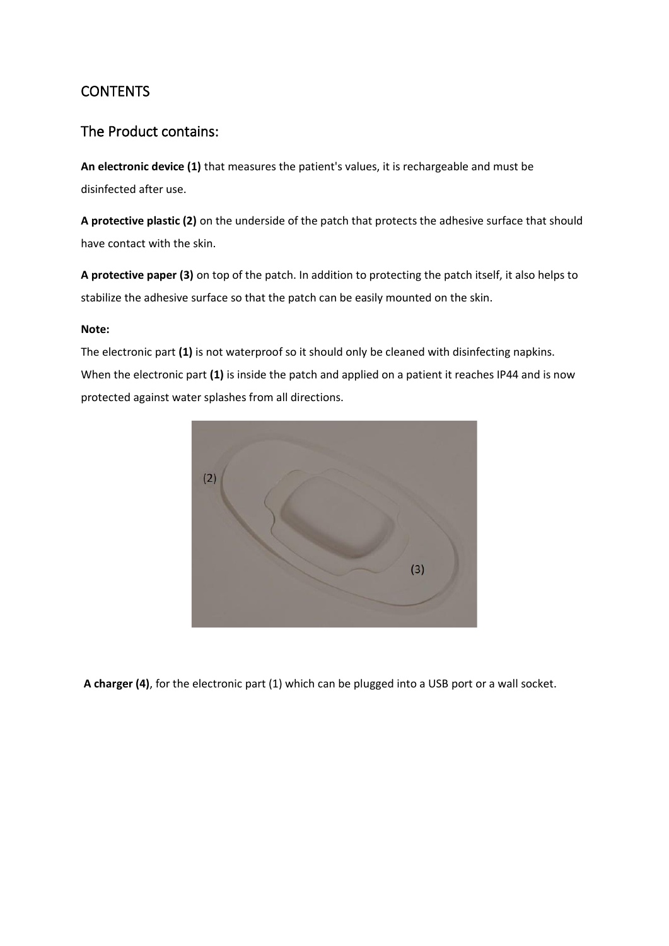## CONTENTS

### The Product contains:

**An electronic device (1)** that measures the patient's values, it is rechargeable and must be disinfected after use.

**A protective plastic (2)** on the underside of the patch that protects the adhesive surface that should have contact with the skin.

**A protective paper (3)** on top of the patch. In addition to protecting the patch itself, it also helps to stabilize the adhesive surface so that the patch can be easily mounted on the skin.

### **Note:**

The electronic part **(1)** is not waterproof so it should only be cleaned with disinfecting napkins. When the electronic part **(1)** is inside the patch and applied on a patient it reaches IP44 and is now protected against water splashes from all directions.



**A charger (4)**, for the electronic part (1) which can be plugged into a USB port or a wall socket.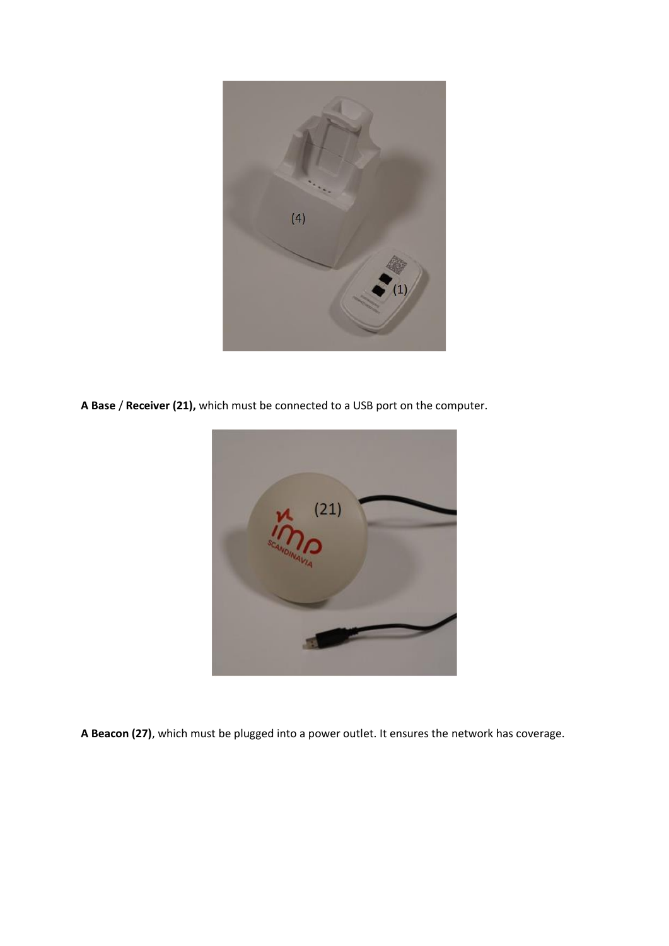

**A Base** / **Receiver (21),** which must be connected to a USB port on the computer.



**A Beacon (27)**, which must be plugged into a power outlet. It ensures the network has coverage.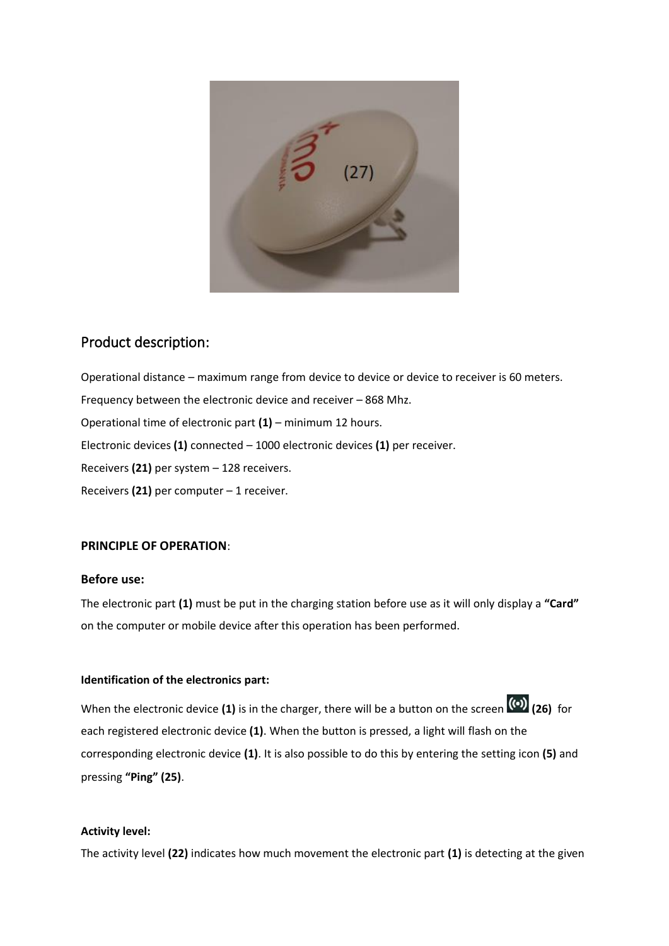

### Product description:

Operational distance – maximum range from device to device or device to receiver is 60 meters. Frequency between the electronic device and receiver – 868 Mhz. Operational time of electronic part **(1)** – minimum 12 hours. Electronic devices **(1)** connected – 1000 electronic devices **(1)** per receiver. Receivers **(21)** per system – 128 receivers. Receivers **(21)** per computer – 1 receiver.

### **PRINCIPLE OF OPERATION**:

#### **Before use:**

The electronic part **(1)** must be put in the charging station before use as it will only display a **"Card"** on the computer or mobile device after this operation has been performed.

#### **Identification of the electronics part:**

When the electronic device **(1)** is in the charger, there will be a button on the screen **(26)** for each registered electronic device **(1)**. When the button is pressed, a light will flash on the corresponding electronic device **(1)**. It is also possible to do this by entering the setting icon **(5)** and pressing **"Ping" (25)**.

#### **Activity level:**

The activity level **(22)** indicates how much movement the electronic part **(1)** is detecting at the given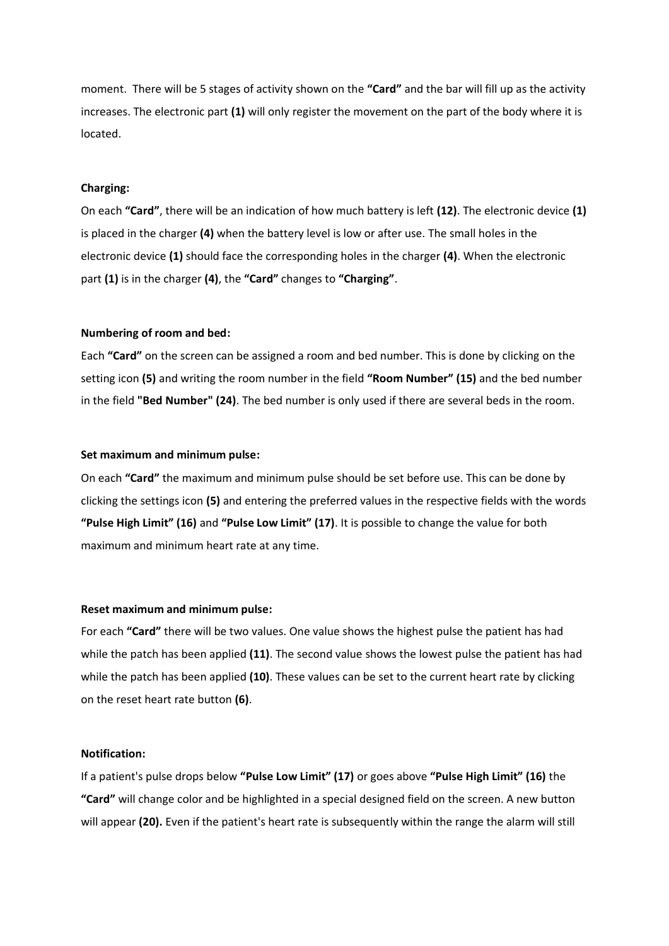moment. There will be 5 stages of activity shown on the **"Card"** and the bar will fill up as the activity increases. The electronic part **(1)** will only register the movement on the part of the body where it is located.

#### **Charging:**

On each **"Card"**, there will be an indication of how much battery is left **(12)**. The electronic device **(1)** is placed in the charger **(4)** when the battery level is low or after use. The small holes in the electronic device **(1)** should face the corresponding holes in the charger **(4)**. When the electronic part **(1)** is in the charger **(4)**, the **"Card"** changes to **"Charging"**.

#### **Numbering of room and bed:**

Each **"Card"** on the screen can be assigned a room and bed number. This is done by clicking on the setting icon **(5)** and writing the room number in the field **"Room Number" (15)** and the bed number in the field **"Bed Number" (24)**. The bed number is only used if there are several beds in the room.

#### **Set maximum and minimum pulse:**

On each **"Card"** the maximum and minimum pulse should be set before use. This can be done by clicking the settings icon **(5)** and entering the preferred values in the respective fields with the words **"Pulse High Limit" (16)** and **"Pulse Low Limit" (17)**. It is possible to change the value for both maximum and minimum heart rate at any time.

#### **Reset maximum and minimum pulse:**

For each **"Card"** there will be two values. One value shows the highest pulse the patient has had while the patch has been applied **(11)**. The second value shows the lowest pulse the patient has had while the patch has been applied **(10)**. These values can be set to the current heart rate by clicking on the reset heart rate button **(6)**.

#### **Notification:**

If a patient's pulse drops below **"Pulse Low Limit" (17)** or goes above **"Pulse High Limit" (16)** the **"Card"** will change color and be highlighted in a special designed field on the screen. A new button will appear **(20).** Even if the patient's heart rate is subsequently within the range the alarm will still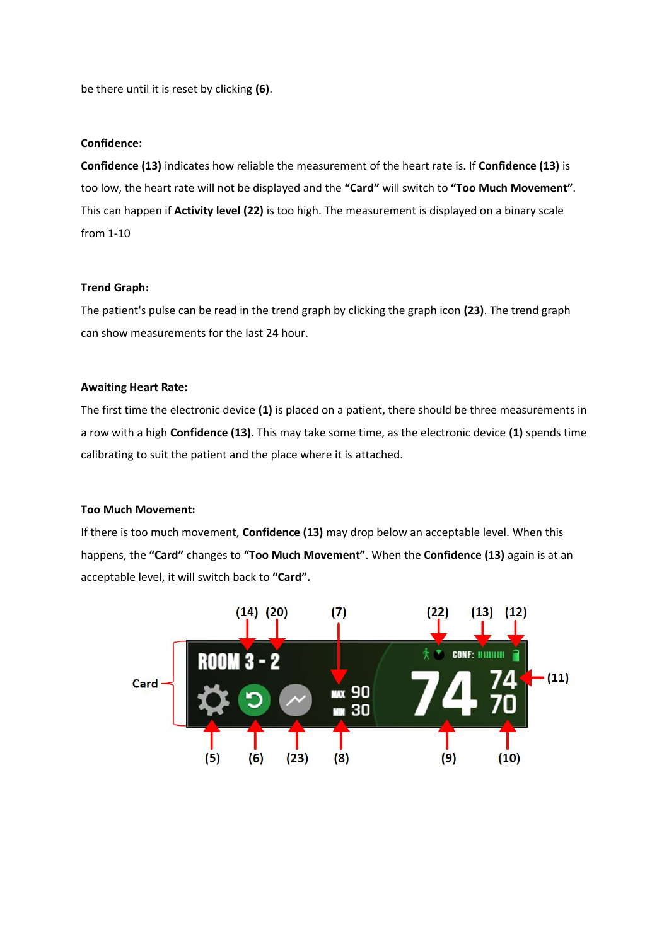be there until it is reset by clicking **(6)**.

#### **Confidence:**

**Confidence (13)** indicates how reliable the measurement of the heart rate is. If **Confidence (13)** is too low, the heart rate will not be displayed and the **"Card"** will switch to **"Too Much Movement"**. This can happen if **Activity level (22)** is too high. The measurement is displayed on a binary scale from 1-10

#### **Trend Graph:**

The patient's pulse can be read in the trend graph by clicking the graph icon **(23)**. The trend graph can show measurements for the last 24 hour.

#### **Awaiting Heart Rate:**

The first time the electronic device **(1)** is placed on a patient, there should be three measurements in a row with a high **Confidence (13)**. This may take some time, as the electronic device **(1)** spends time calibrating to suit the patient and the place where it is attached.

#### **Too Much Movement:**

If there is too much movement, **Confidence (13)** may drop below an acceptable level. When this happens, the **"Card"** changes to **"Too Much Movement"**. When the **Confidence (13)** again is at an acceptable level, it will switch back to **"Card".**

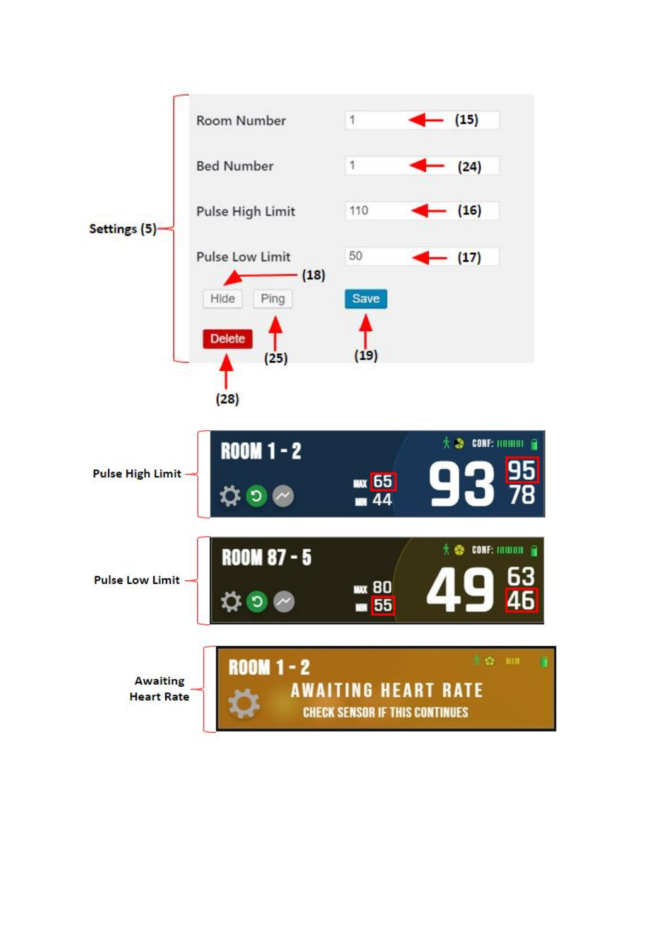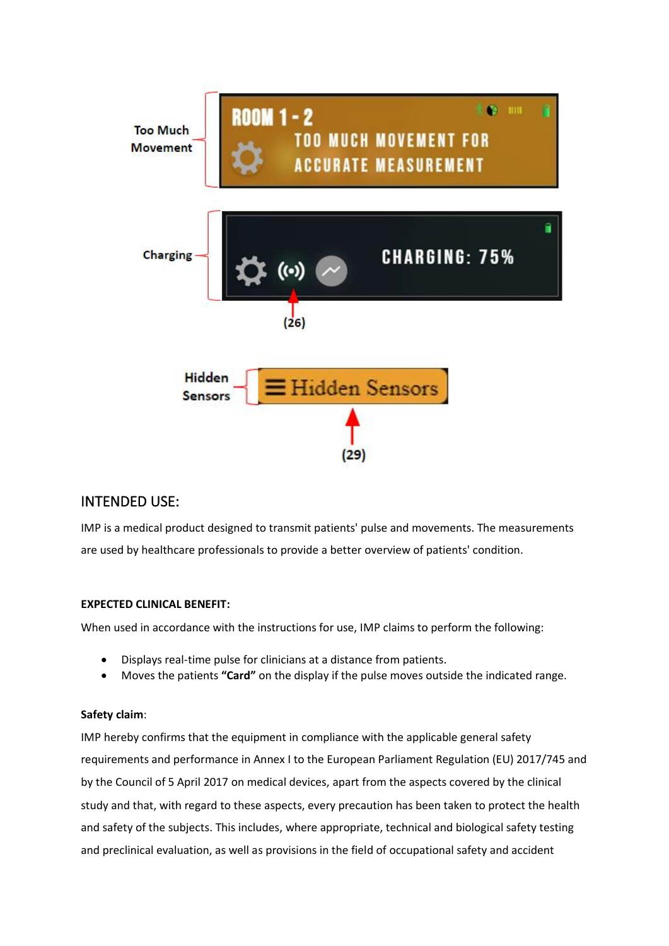

### INTENDED USE:

IMP is a medical product designed to transmit patients' pulse and movements. The measurements are used by healthcare professionals to provide a better overview of patients' condition.

### **EXPECTED CLINICAL BENEFIT:**

When used in accordance with the instructions for use, IMP claims to perform the following:

- Displays real-time pulse for clinicians at a distance from patients.
- Moves the patients **"Card"** on the display if the pulse moves outside the indicated range.

### **Safety claim**:

IMP hereby confirms that the equipment in compliance with the applicable general safety requirements and performance in Annex I to the European Parliament Regulation (EU) 2017/745 and by the Council of 5 April 2017 on medical devices, apart from the aspects covered by the clinical study and that, with regard to these aspects, every precaution has been taken to protect the health and safety of the subjects. This includes, where appropriate, technical and biological safety testing and preclinical evaluation, as well as provisions in the field of occupational safety and accident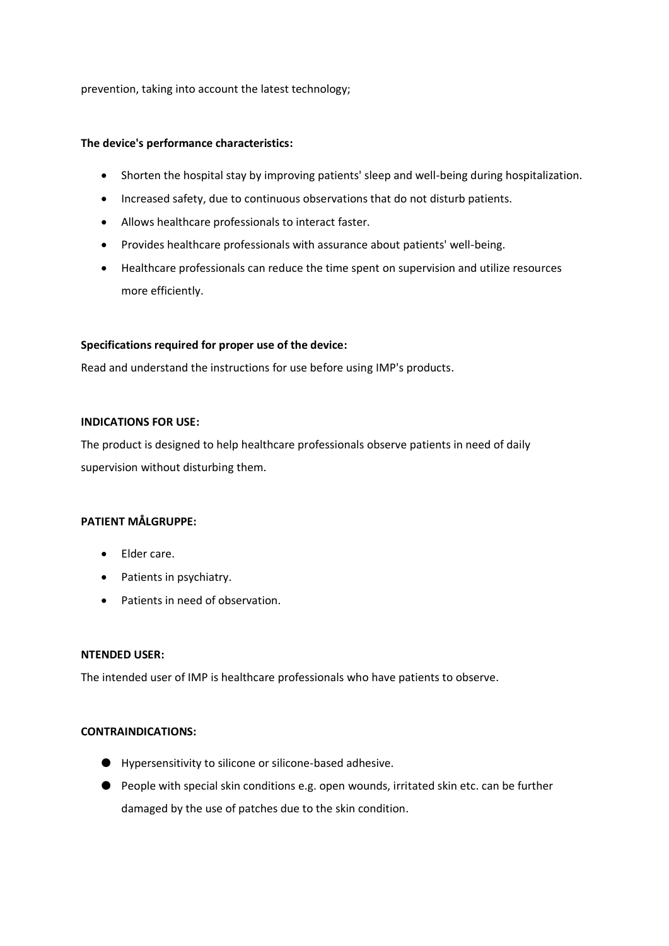prevention, taking into account the latest technology;

#### **The device's performance characteristics:**

- Shorten the hospital stay by improving patients' sleep and well-being during hospitalization.
- Increased safety, due to continuous observations that do not disturb patients.
- Allows healthcare professionals to interact faster.
- Provides healthcare professionals with assurance about patients' well-being.
- Healthcare professionals can reduce the time spent on supervision and utilize resources more efficiently.

#### **Specifications required for proper use of the device:**

Read and understand the instructions for use before using IMP's products.

#### **INDICATIONS FOR USE:**

The product is designed to help healthcare professionals observe patients in need of daily supervision without disturbing them.

#### **PATIENT MÅLGRUPPE:**

- Elder care.
- Patients in psychiatry.
- Patients in need of observation.

#### **NTENDED USER:**

The intended user of IMP is healthcare professionals who have patients to observe.

#### **CONTRAINDICATIONS:**

- Hypersensitivity to silicone or silicone-based adhesive.
- People with special skin conditions e.g. open wounds, irritated skin etc. can be further damaged by the use of patches due to the skin condition.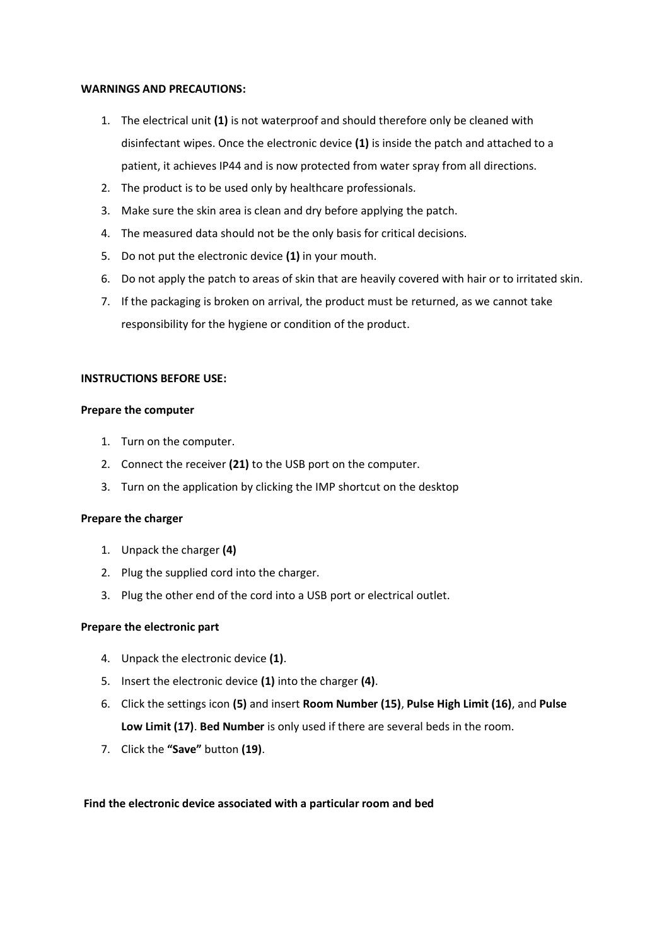#### **WARNINGS AND PRECAUTIONS:**

- 1. The electrical unit **(1)** is not waterproof and should therefore only be cleaned with disinfectant wipes. Once the electronic device **(1)** is inside the patch and attached to a patient, it achieves IP44 and is now protected from water spray from all directions.
- 2. The product is to be used only by healthcare professionals.
- 3. Make sure the skin area is clean and dry before applying the patch.
- 4. The measured data should not be the only basis for critical decisions.
- 5. Do not put the electronic device **(1)** in your mouth.
- 6. Do not apply the patch to areas of skin that are heavily covered with hair or to irritated skin.
- 7. If the packaging is broken on arrival, the product must be returned, as we cannot take responsibility for the hygiene or condition of the product.

#### **INSTRUCTIONS BEFORE USE:**

#### **Prepare the computer**

- 1. Turn on the computer.
- 2. Connect the receiver **(21)** to the USB port on the computer.
- 3. Turn on the application by clicking the IMP shortcut on the desktop

#### **Prepare the charger**

- 1. Unpack the charger **(4)**
- 2. Plug the supplied cord into the charger.
- 3. Plug the other end of the cord into a USB port or electrical outlet.

#### **Prepare the electronic part**

- 4. Unpack the electronic device **(1)**.
- 5. Insert the electronic device **(1)** into the charger **(4)**.
- 6. Click the settings icon **(5)** and insert **Room Number (15)**, **Pulse High Limit (16)**, and **Pulse Low Limit (17)**. **Bed Number** is only used if there are several beds in the room.
- 7. Click the **"Save"** button **(19)**.

#### **Find the electronic device associated with a particular room and bed**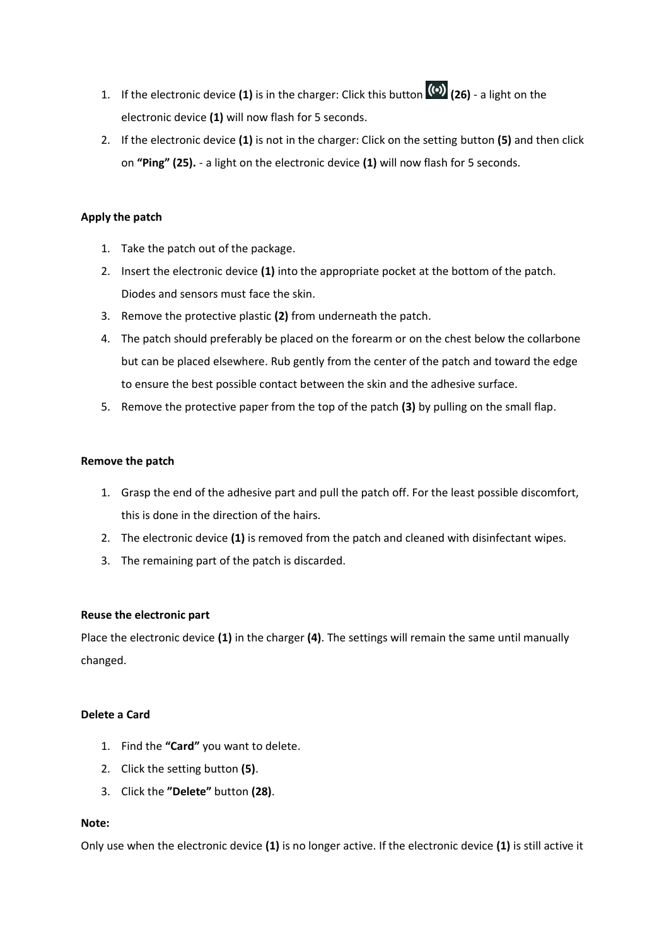- 1. If the electronic device **(1)** is in the charger: Click this button **(26)** a light on the electronic device **(1)** will now flash for 5 seconds.
- 2. If the electronic device **(1)** is not in the charger: Click on the setting button **(5)** and then click on **"Ping" (25).** - a light on the electronic device **(1)** will now flash for 5 seconds.

#### **Apply the patch**

- 1. Take the patch out of the package.
- 2. Insert the electronic device **(1)** into the appropriate pocket at the bottom of the patch. Diodes and sensors must face the skin.
- 3. Remove the protective plastic **(2)** from underneath the patch.
- 4. The patch should preferably be placed on the forearm or on the chest below the collarbone but can be placed elsewhere. Rub gently from the center of the patch and toward the edge to ensure the best possible contact between the skin and the adhesive surface.
- 5. Remove the protective paper from the top of the patch **(3)** by pulling on the small flap.

#### **Remove the patch**

- 1. Grasp the end of the adhesive part and pull the patch off. For the least possible discomfort, this is done in the direction of the hairs.
- 2. The electronic device **(1)** is removed from the patch and cleaned with disinfectant wipes.
- 3. The remaining part of the patch is discarded.

#### **Reuse the electronic part**

Place the electronic device **(1)** in the charger **(4)**. The settings will remain the same until manually changed.

#### **Delete a Card**

- 1. Find the **"Card"** you want to delete.
- 2. Click the setting button **(5)**.
- 3. Click the **"Delete"** button **(28)**.

#### **Note:**

Only use when the electronic device **(1)** is no longer active. If the electronic device **(1)** is still active it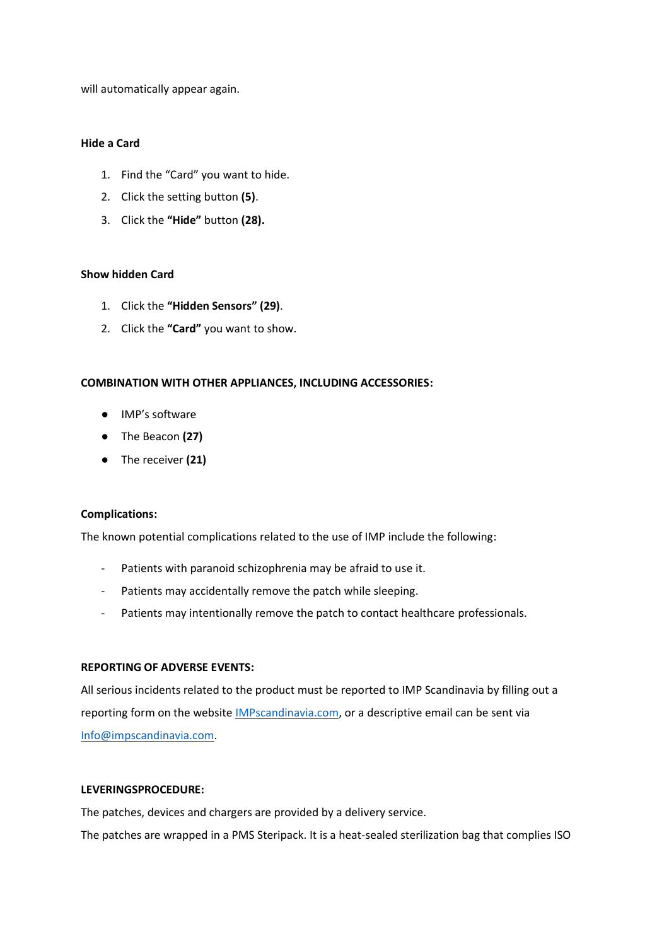will automatically appear again.

#### **Hide a Card**

- 1. Find the "Card" you want to hide.
- 2. Click the setting button **(5)**.
- 3. Click the **"Hide"** button **(28).**

#### **Show hidden Card**

- 1. Click the **"Hidden Sensors" (29)**.
- 2. Click the **"Card"** you want to show.

#### **COMBINATION WITH OTHER APPLIANCES, INCLUDING ACCESSORIES:**

- IMP's software
- The Beacon **(27)**
- The receiver **(21)**

#### **Complications:**

The known potential complications related to the use of IMP include the following:

- Patients with paranoid schizophrenia may be afraid to use it.
- Patients may accidentally remove the patch while sleeping.
- Patients may intentionally remove the patch to contact healthcare professionals.

#### **REPORTING OF ADVERSE EVENTS:**

All serious incidents related to the product must be reported to IMP Scandinavia by filling out a reporting form on the website [IMPscandinavia.com,](http://impscandinavia.com/) or a descriptive email can be sent via [Info@impscandinavia.com.](mailto:Info@impscandinavia.com)

#### **LEVERINGSPROCEDURE:**

The patches, devices and chargers are provided by a delivery service. The patches are wrapped in a PMS Steripack. It is a heat-sealed sterilization bag that complies ISO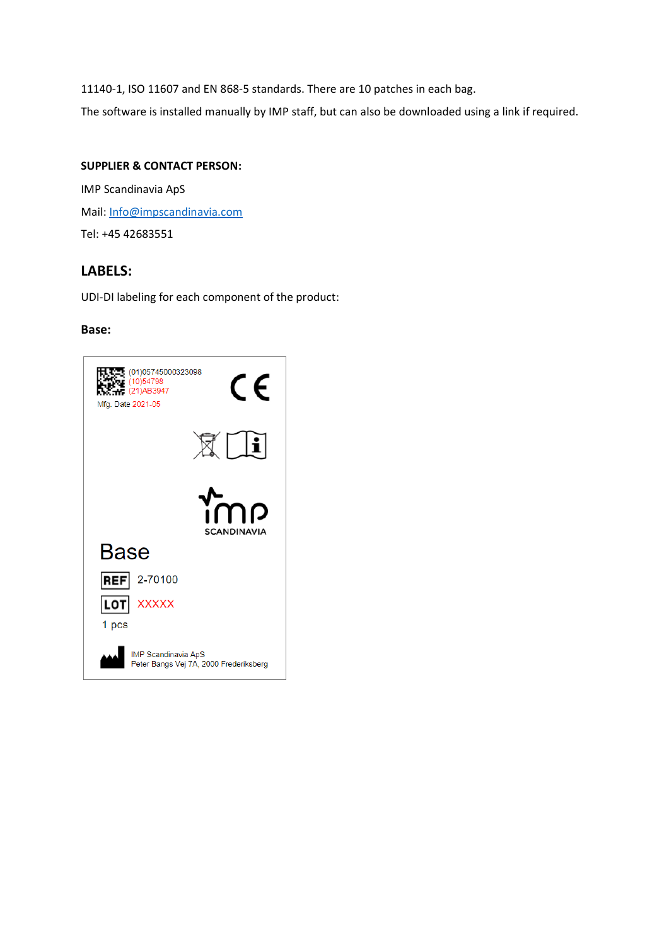11140-1, ISO 11607 and EN 868-5 standards. There are 10 patches in each bag.

The software is installed manually by IMP staff, but can also be downloaded using a link if required.

#### **SUPPLIER & CONTACT PERSON:**

IMP Scandinavia ApS Mail: [Info@impscandinavia.com](mailto:Info@impscandinavia.com) Tel: +45 42683551

### **LABELS:**

UDI-DI labeling for each component of the product:

#### **Base:**

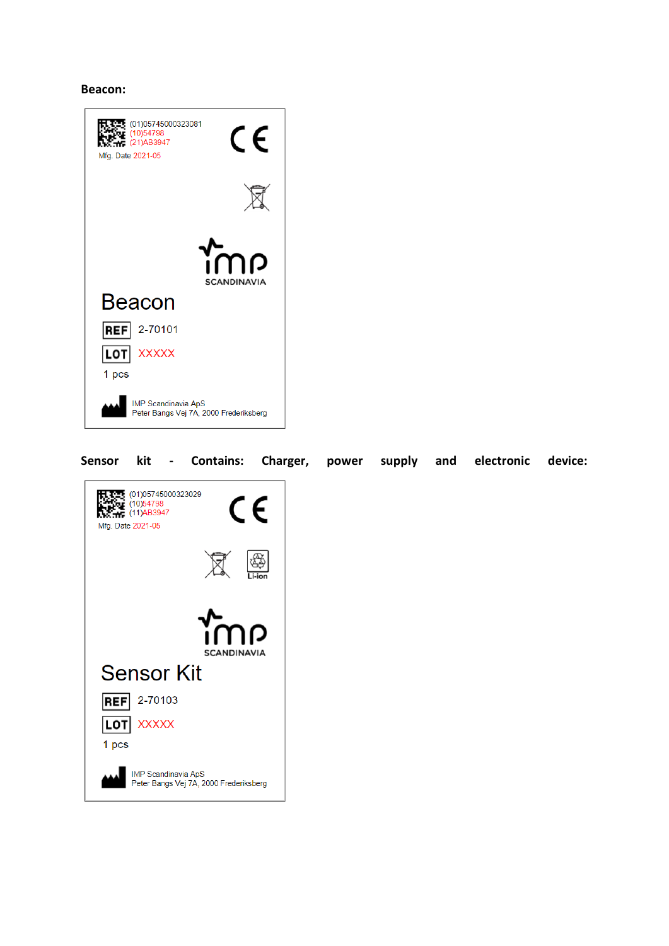#### **Beacon:**



#### **Sensor kit - Contains: Charger, power supply and electronic device:**

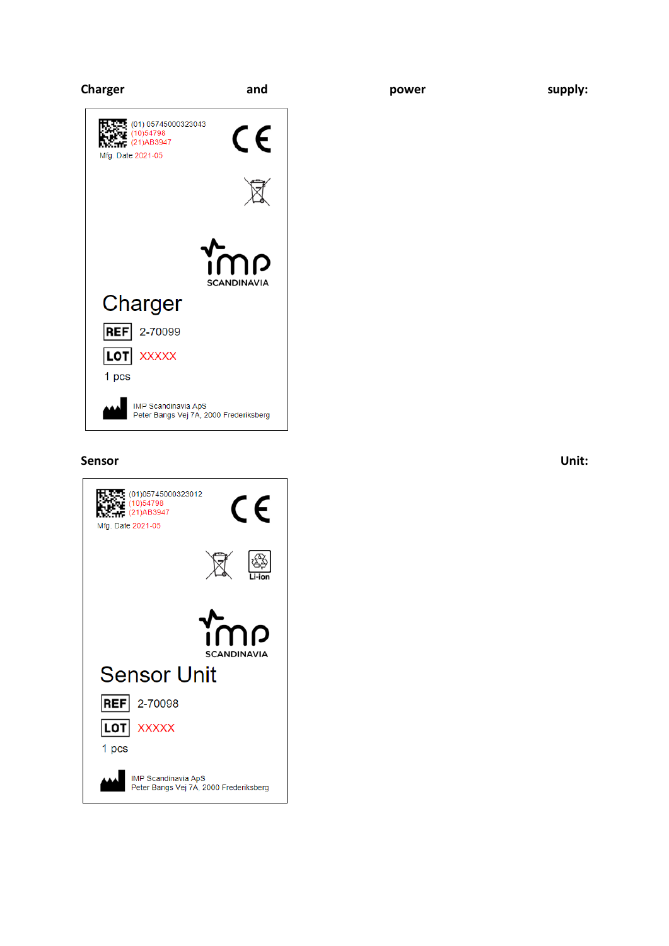

#### **Sensor Unit:**

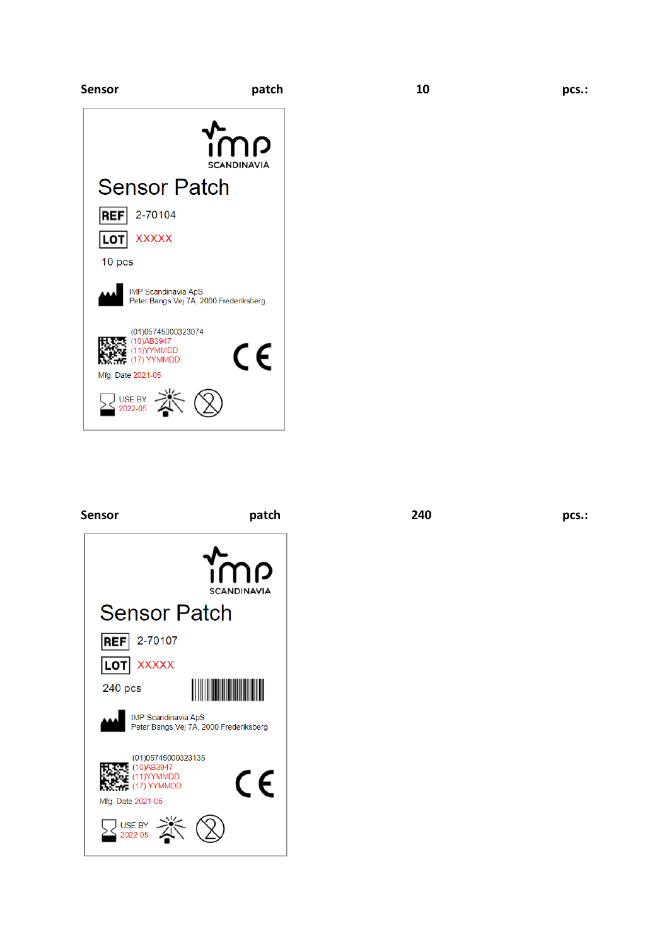